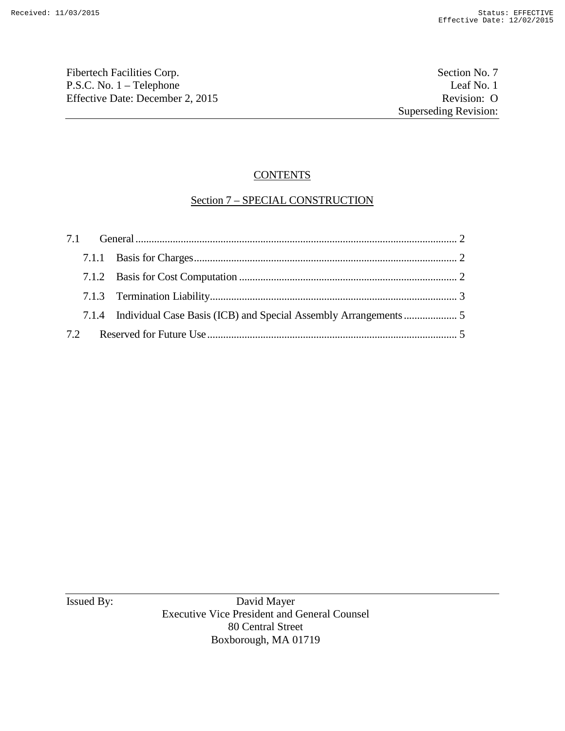Fibertech Facilities Corp. Section No. 7 P.S.C. No. 1 – Telephone Leaf No. 1<br>
Effective Date: December 2, 2015 Revision: O Effective Date: December 2, 2015

# **CONTENTS**

## Section 7 – SPECIAL CONSTRUCTION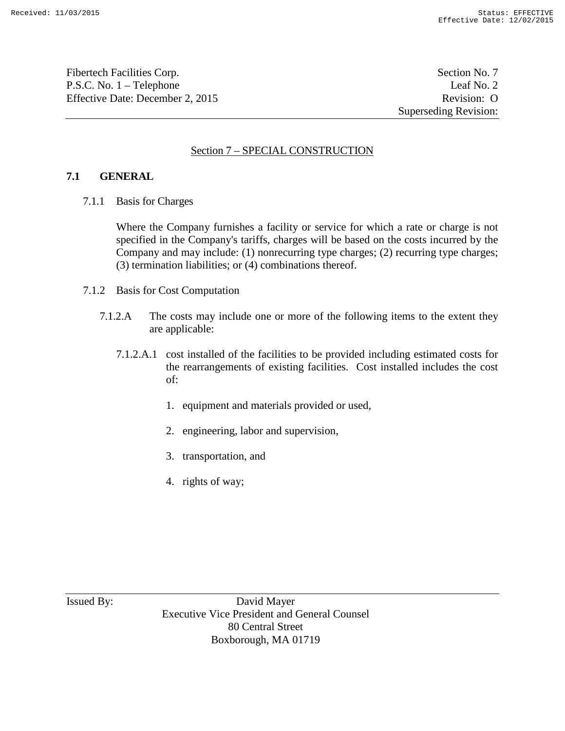Fibertech Facilities Corp. Section No. 7 P.S.C. No. 1 – Telephone Leaf No. 2 Effective Date: December 2, 2015 Revision: O

Superseding Revision:

## Section 7 – SPECIAL CONSTRUCTION

### **7.1 GENERAL**

7.1.1 Basis for Charges

Where the Company furnishes a facility or service for which a rate or charge is not specified in the Company's tariffs, charges will be based on the costs incurred by the Company and may include: (1) nonrecurring type charges; (2) recurring type charges; (3) termination liabilities; or (4) combinations thereof.

- 7.1.2 Basis for Cost Computation
	- 7.1.2.A The costs may include one or more of the following items to the extent they are applicable:
		- 7.1.2.A.1 cost installed of the facilities to be provided including estimated costs for the rearrangements of existing facilities. Cost installed includes the cost of:
			- 1. equipment and materials provided or used,
			- 2. engineering, labor and supervision,
			- 3. transportation, and
			- 4. rights of way;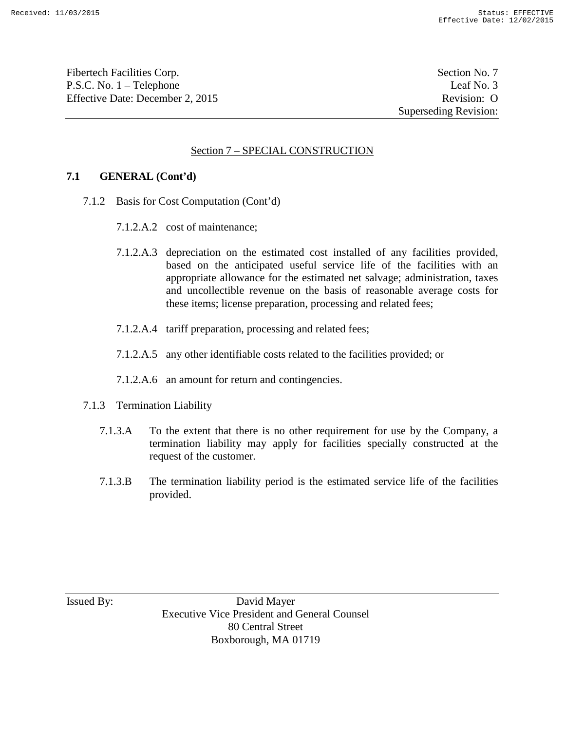Fibertech Facilities Corp. Section No. 7 P.S.C. No. 1 – Telephone Leaf No. 3 Effective Date: December 2, 2015 Revision: O

Superseding Revision:

#### Section 7 – SPECIAL CONSTRUCTION

#### **7.1 GENERAL (Cont'd)**

- 7.1.2 Basis for Cost Computation (Cont'd)
	- 7.1.2.A.2 cost of maintenance;
	- 7.1.2.A.3 depreciation on the estimated cost installed of any facilities provided, based on the anticipated useful service life of the facilities with an appropriate allowance for the estimated net salvage; administration, taxes and uncollectible revenue on the basis of reasonable average costs for these items; license preparation, processing and related fees;
	- 7.1.2.A.4 tariff preparation, processing and related fees;
	- 7.1.2.A.5 any other identifiable costs related to the facilities provided; or
	- 7.1.2.A.6 an amount for return and contingencies.
- 7.1.3 Termination Liability
	- 7.1.3.A To the extent that there is no other requirement for use by the Company, a termination liability may apply for facilities specially constructed at the request of the customer.
	- 7.1.3.B The termination liability period is the estimated service life of the facilities provided.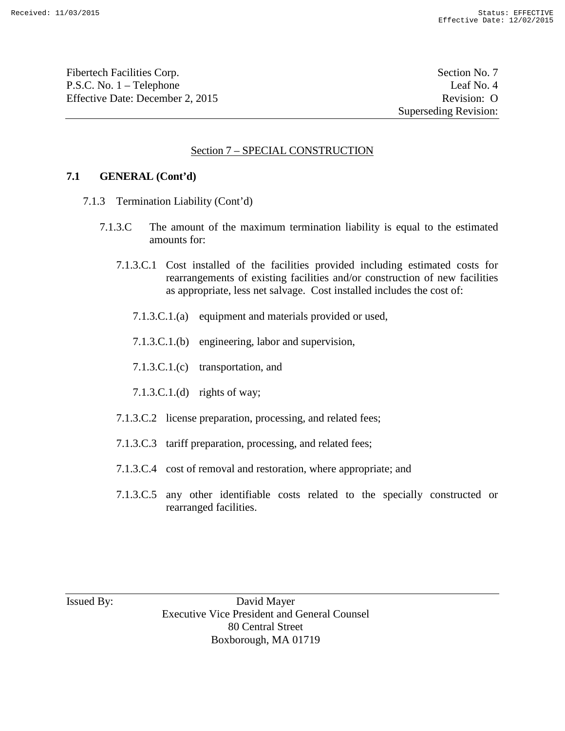Fibertech Facilities Corp. Section No. 7 P.S.C. No. 1 – Telephone Leaf No. 4 Effective Date: December 2, 2015 Revision: O

Superseding Revision:

#### Section 7 – SPECIAL CONSTRUCTION

#### **7.1 GENERAL (Cont'd)**

- 7.1.3 Termination Liability (Cont'd)
	- 7.1.3.C The amount of the maximum termination liability is equal to the estimated amounts for:
		- 7.1.3.C.1 Cost installed of the facilities provided including estimated costs for rearrangements of existing facilities and/or construction of new facilities as appropriate, less net salvage. Cost installed includes the cost of:
			- 7.1.3.C.1.(a) equipment and materials provided or used,
			- 7.1.3.C.1.(b) engineering, labor and supervision,
			- 7.1.3.C.1.(c) transportation, and
			- 7.1.3.C.1.(d) rights of way;
		- 7.1.3.C.2 license preparation, processing, and related fees;
		- 7.1.3.C.3 tariff preparation, processing, and related fees;
		- 7.1.3.C.4 cost of removal and restoration, where appropriate; and
		- 7.1.3.C.5 any other identifiable costs related to the specially constructed or rearranged facilities.